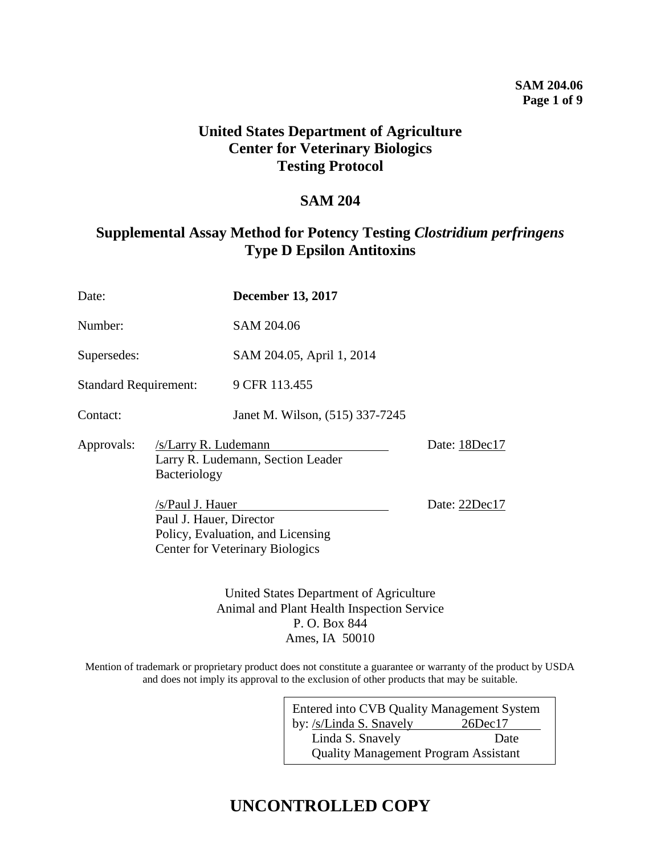## **SAM 204.06 Page 1 of 9**

## **United States Department of Agriculture Center for Veterinary Biologics Testing Protocol**

## **SAM 204**

## **Supplemental Assay Method for Potency Testing** *Clostridium perfringens* **Type D Epsilon Antitoxins**

| Date:                        |              | <b>December 13, 2017</b>                                                                                                                                                                |  |  |
|------------------------------|--------------|-----------------------------------------------------------------------------------------------------------------------------------------------------------------------------------------|--|--|
| Number:                      |              | SAM 204.06                                                                                                                                                                              |  |  |
| Supersedes:                  |              | SAM 204.05, April 1, 2014                                                                                                                                                               |  |  |
| <b>Standard Requirement:</b> |              | 9 CFR 113.455                                                                                                                                                                           |  |  |
| Contact:                     |              | Janet M. Wilson, (515) 337-7245                                                                                                                                                         |  |  |
| Approvals:                   | Bacteriology | /s/Larry R. Ludemann<br>Larry R. Ludemann, Section Leader<br>/s/Paul J. Hauer<br>Paul J. Hauer, Director<br>Policy, Evaluation, and Licensing<br><b>Center for Veterinary Biologics</b> |  |  |
|                              |              |                                                                                                                                                                                         |  |  |

United States Department of Agriculture Animal and Plant Health Inspection Service P. O. Box 844 Ames, IA 50010

Mention of trademark or proprietary product does not constitute a guarantee or warranty of the product by USDA and does not imply its approval to the exclusion of other products that may be suitable.

| Entered into CVB Quality Management System  |               |  |  |  |
|---------------------------------------------|---------------|--|--|--|
| by: /s/Linda S. Snavely                     | $26$ Dec $17$ |  |  |  |
| Linda S. Snavely                            | Date          |  |  |  |
| <b>Quality Management Program Assistant</b> |               |  |  |  |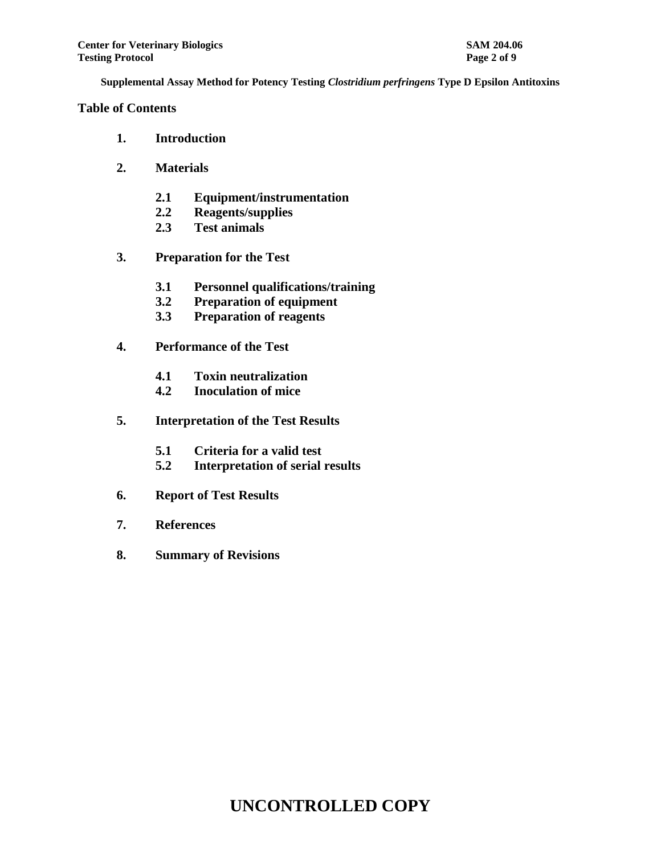## **Table of Contents**

- **1. Introduction**
- **2. Materials**
	- **2.1 Equipment/instrumentation**
	- **2.2 Reagents/supplies**
	- **2.3 Test animals**
- **3. Preparation for the Test**
	- **3.1 Personnel qualifications/training**
	- **3.2 Preparation of equipment**
	- **3.3 Preparation of reagents**
- **4. Performance of the Test**
	- **4.1 Toxin neutralization**
	- **4.2 Inoculation of mice**
- **5. Interpretation of the Test Results**
	- **5.1 Criteria for a valid test**
	- **5.2 Interpretation of serial results**
- **6. Report of Test Results**
- **7. References**
- **8. Summary of Revisions**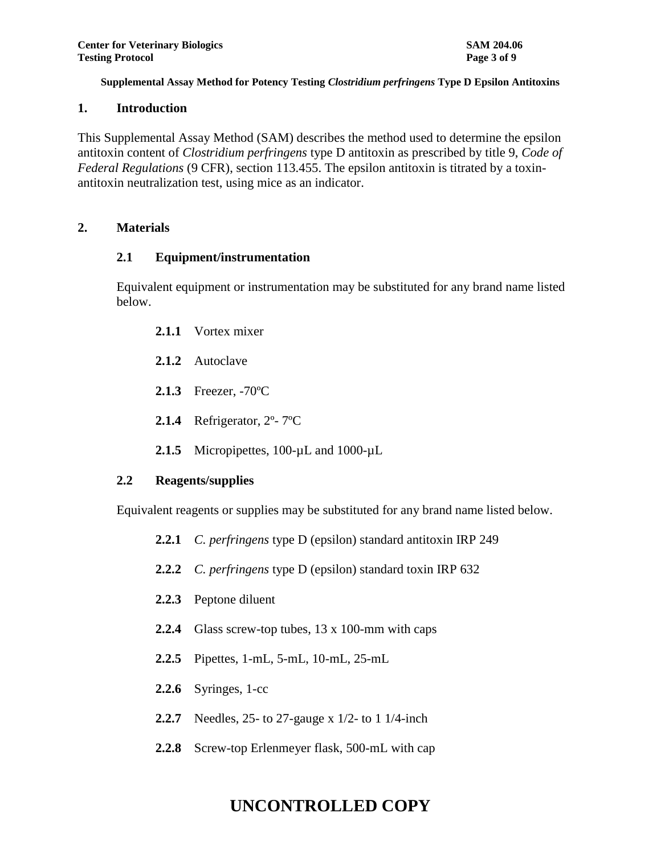## **1. Introduction**

This Supplemental Assay Method (SAM) describes the method used to determine the epsilon antitoxin content of *Clostridium perfringens* type D antitoxin as prescribed by title 9, *Code of Federal Regulations* (9 CFR), section 113.455. The epsilon antitoxin is titrated by a toxinantitoxin neutralization test, using mice as an indicator.

## **2. Materials**

## **2.1 Equipment/instrumentation**

Equivalent equipment or instrumentation may be substituted for any brand name listed below.

- **2.1.1** Vortex mixer
- **2.1.2** Autoclave
- **2.1.3** Freezer, -70ºC
- **2.1.4** Refrigerator, 2º- 7ºC
- 2.1.5 Micropipettes, 100-µL and 1000-µL

## **2.2 Reagents/supplies**

Equivalent reagents or supplies may be substituted for any brand name listed below.

- **2.2.1** *C. perfringens* type D (epsilon) standard antitoxin IRP 249
- **2.2.2** *C. perfringens* type D (epsilon) standard toxin IRP 632
- **2.2.3** Peptone diluent
- **2.2.4** Glass screw-top tubes, 13 x 100-mm with caps
- **2.2.5** Pipettes, 1-mL, 5-mL, 10-mL, 25-mL
- **2.2.6** Syringes, 1-cc
- **2.2.7** Needles, 25- to 27-gauge x 1/2- to 1 1/4-inch
- **2.2.8** Screw-top Erlenmeyer flask, 500-mL with cap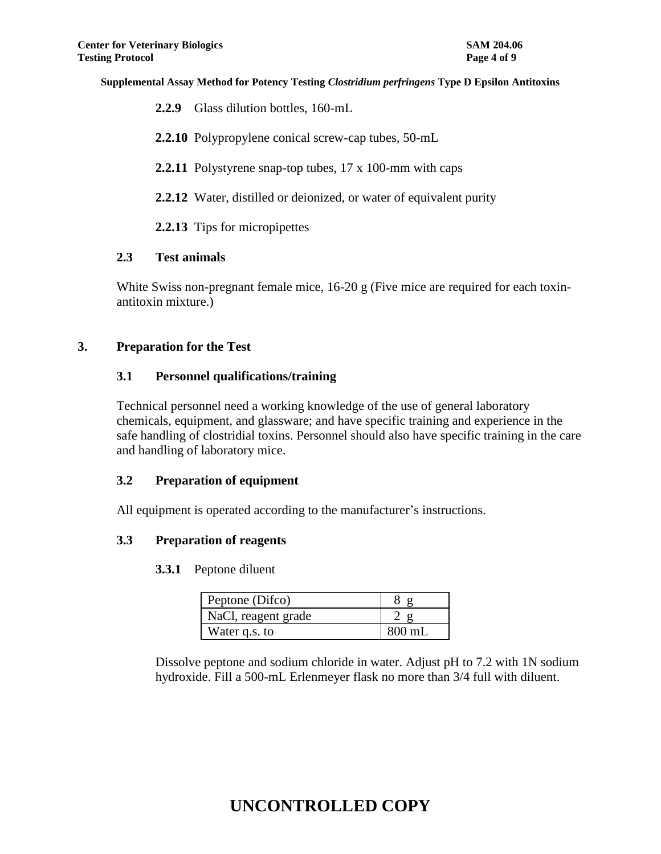| <b>2.2.9</b> Glass dilution bottles, 160-mL                |
|------------------------------------------------------------|
| <b>2.2.10</b> Polypropylene conical screw-cap tubes, 50-mL |

**2.2.11** Polystyrene snap-top tubes, 17 x 100-mm with caps

**2.2.12** Water, distilled or deionized, or water of equivalent purity

**2.2.13** Tips for micropipettes

## **2.3 Test animals**

White Swiss non-pregnant female mice, 16-20 g (Five mice are required for each toxinantitoxin mixture.)

## **3. Preparation for the Test**

## **3.1 Personnel qualifications/training**

Technical personnel need a working knowledge of the use of general laboratory chemicals, equipment, and glassware; and have specific training and experience in the safe handling of clostridial toxins. Personnel should also have specific training in the care and handling of laboratory mice.

## **3.2 Preparation of equipment**

All equipment is operated according to the manufacturer's instructions.

## **3.3 Preparation of reagents**

#### **3.3.1** Peptone diluent

| Peptone (Difco)     |                  |
|---------------------|------------------|
| NaCl, reagent grade |                  |
| Water q.s. to       | $800 \text{ mL}$ |

Dissolve peptone and sodium chloride in water. Adjust pH to 7.2 with 1N sodium hydroxide. Fill a 500-mL Erlenmeyer flask no more than 3/4 full with diluent.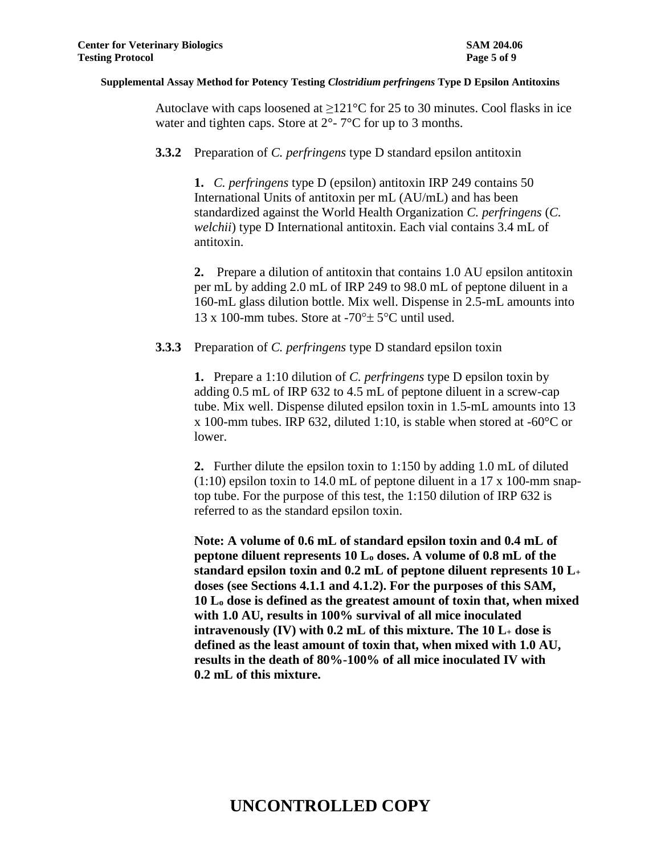Autoclave with caps loosened at  $\geq 121^{\circ}$ C for 25 to 30 minutes. Cool flasks in ice water and tighten caps. Store at  $2^{\circ}$ -  $7^{\circ}$ C for up to 3 months.

#### **3.3.2** Preparation of *C. perfringens* type D standard epsilon antitoxin

**1.** *C. perfringens* type D (epsilon) antitoxin IRP 249 contains 50 International Units of antitoxin per mL (AU/mL) and has been standardized against the World Health Organization *C. perfringens* (*C. welchii*) type D International antitoxin. Each vial contains 3.4 mL of antitoxin.

**2.** Prepare a dilution of antitoxin that contains 1.0 AU epsilon antitoxin per mL by adding 2.0 mL of IRP 249 to 98.0 mL of peptone diluent in a 160-mL glass dilution bottle. Mix well. Dispense in 2.5-mL amounts into 13 x 100-mm tubes. Store at  $-70^\circ \pm 5^\circ$ C until used.

#### **3.3.3** Preparation of *C. perfringens* type D standard epsilon toxin

**1.** Prepare a 1:10 dilution of *C. perfringens* type D epsilon toxin by adding 0.5 mL of IRP 632 to 4.5 mL of peptone diluent in a screw-cap tube. Mix well. Dispense diluted epsilon toxin in 1.5-mL amounts into 13 x 100-mm tubes. IRP 632, diluted 1:10, is stable when stored at -60°C or lower.

**2.** Further dilute the epsilon toxin to 1:150 by adding 1.0 mL of diluted  $(1:10)$  epsilon toxin to 14.0 mL of peptone diluent in a 17 x 100-mm snaptop tube. For the purpose of this test, the 1:150 dilution of IRP 632 is referred to as the standard epsilon toxin.

**Note: A volume of 0.6 mL of standard epsilon toxin and 0.4 mL of peptone diluent represents 10 L<sup>o</sup> doses. A volume of 0.8 mL of the standard epsilon toxin and 0.2 mL of peptone diluent represents 10 L<sup>+</sup> doses (see Sections 4.1.1 and 4.1.2). For the purposes of this SAM, 10 L<sup>o</sup> dose is defined as the greatest amount of toxin that, when mixed with 1.0 AU, results in 100% survival of all mice inoculated intravenously (IV) with 0.2 mL of this mixture. The 10 L<sup>+</sup> dose is defined as the least amount of toxin that, when mixed with 1.0 AU, results in the death of 80%-100% of all mice inoculated IV with 0.2 mL of this mixture.**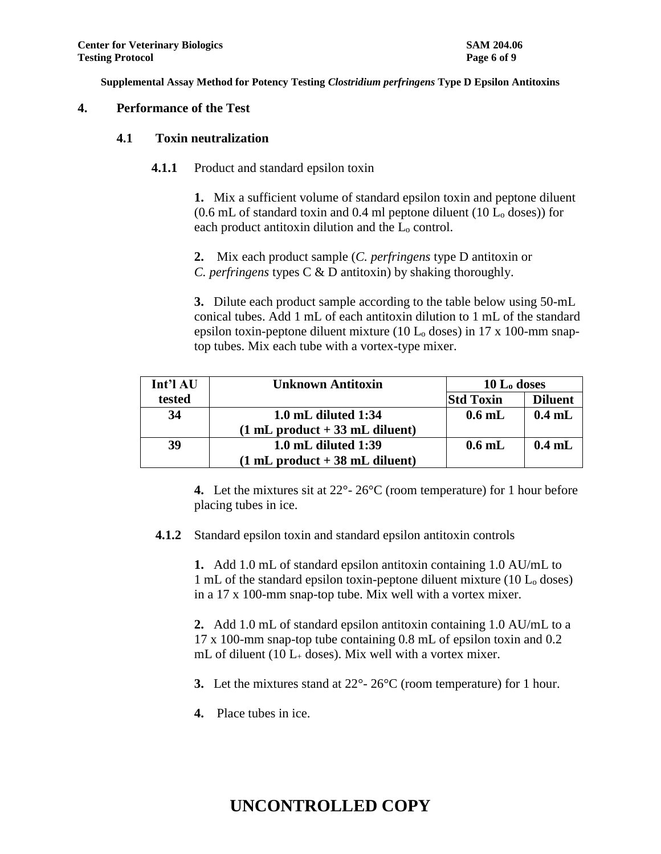## **4. Performance of the Test**

## **4.1 Toxin neutralization**

**4.1.1** Product and standard epsilon toxin

**1.** Mix a sufficient volume of standard epsilon toxin and peptone diluent  $(0.6$  mL of standard toxin and 0.4 ml peptone diluent (10 L<sub>o</sub> doses)) for each product antitoxin dilution and the  $L_0$  control.

**2.** Mix each product sample (*C. perfringens* type D antitoxin or *C. perfringens* types C & D antitoxin) by shaking thoroughly.

**3.** Dilute each product sample according to the table below using 50-mL conical tubes. Add 1 mL of each antitoxin dilution to 1 mL of the standard epsilon toxin-peptone diluent mixture (10  $L_0$  doses) in 17 x 100-mm snaptop tubes. Mix each tube with a vortex-type mixer.

| Int'l AU | <b>Unknown Antitoxin</b>                         |                  | $10 L_0$ doses |  |
|----------|--------------------------------------------------|------------------|----------------|--|
| tested   |                                                  | <b>Std Toxin</b> | <b>Diluent</b> |  |
| 34       | $1.0$ mL diluted $1:34$                          | $0.6$ mL         | $0.4$ mL       |  |
|          | $(1 \text{ mL product} + 33 \text{ mL diluent})$ |                  |                |  |
| 39       | $1.0$ mL diluted $1:39$                          | $0.6$ mL         | $0.4$ mL       |  |
|          | $(1 mL$ product $+ 38 mL$ diluent)               |                  |                |  |

**4.** Let the mixtures sit at 22°- 26°C (room temperature) for 1 hour before placing tubes in ice.

**4.1.2** Standard epsilon toxin and standard epsilon antitoxin controls

**1.** Add 1.0 mL of standard epsilon antitoxin containing 1.0 AU/mL to 1 mL of the standard epsilon toxin-peptone diluent mixture  $(10 L_0$  doses) in a 17 x 100-mm snap-top tube. Mix well with a vortex mixer.

**2.** Add 1.0 mL of standard epsilon antitoxin containing 1.0 AU/mL to a 17 x 100-mm snap-top tube containing 0.8 mL of epsilon toxin and 0.2 mL of diluent (10  $L_{+}$  doses). Mix well with a vortex mixer.

**3.** Let the mixtures stand at 22°- 26°C (room temperature) for 1 hour.

**4.** Place tubes in ice.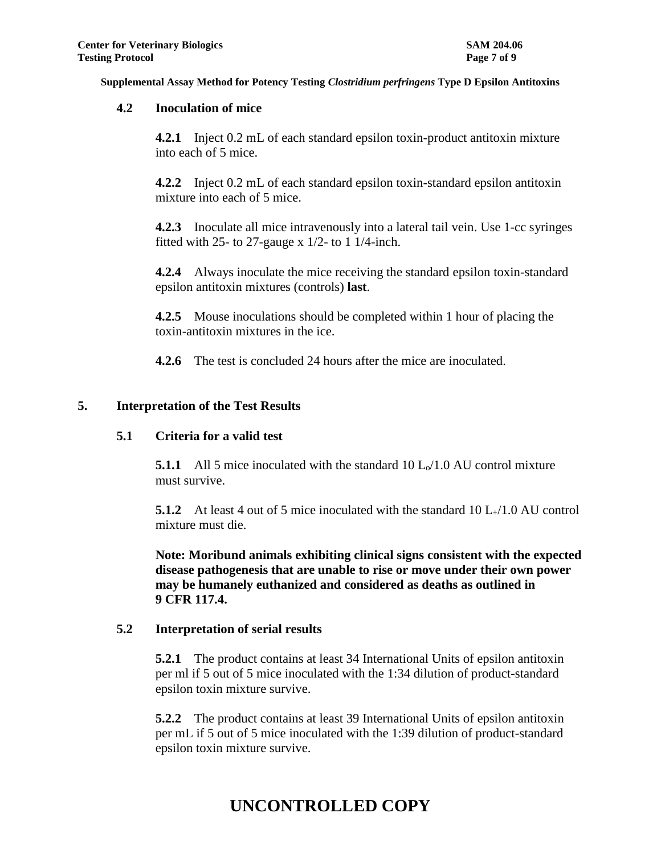## **4.2 Inoculation of mice**

**4.2.1** Inject 0.2 mL of each standard epsilon toxin-product antitoxin mixture into each of 5 mice.

**4.2.2** Inject 0.2 mL of each standard epsilon toxin-standard epsilon antitoxin mixture into each of 5 mice.

**4.2.3** Inoculate all mice intravenously into a lateral tail vein. Use 1-cc syringes fitted with 25- to 27-gauge x 1/2- to 1 1/4-inch.

**4.2.4** Always inoculate the mice receiving the standard epsilon toxin-standard epsilon antitoxin mixtures (controls) **last**.

**4.2.5** Mouse inoculations should be completed within 1 hour of placing the toxin-antitoxin mixtures in the ice.

**4.2.6** The test is concluded 24 hours after the mice are inoculated.

## **5. Interpretation of the Test Results**

#### **5.1 Criteria for a valid test**

**5.1.1** All 5 mice inoculated with the standard  $10 \text{ L}_0/1.0 \text{ AU}$  control mixture must survive.

**5.1.2** At least 4 out of 5 mice inoculated with the standard 10 L+/1.0 AU control mixture must die.

**Note: Moribund animals exhibiting clinical signs consistent with the expected disease pathogenesis that are unable to rise or move under their own power may be humanely euthanized and considered as deaths as outlined in 9 CFR 117.4.**

#### **5.2 Interpretation of serial results**

**5.2.1** The product contains at least 34 International Units of epsilon antitoxin per ml if 5 out of 5 mice inoculated with the 1:34 dilution of product-standard epsilon toxin mixture survive.

**5.2.2** The product contains at least 39 International Units of epsilon antitoxin per mL if 5 out of 5 mice inoculated with the 1:39 dilution of product-standard epsilon toxin mixture survive.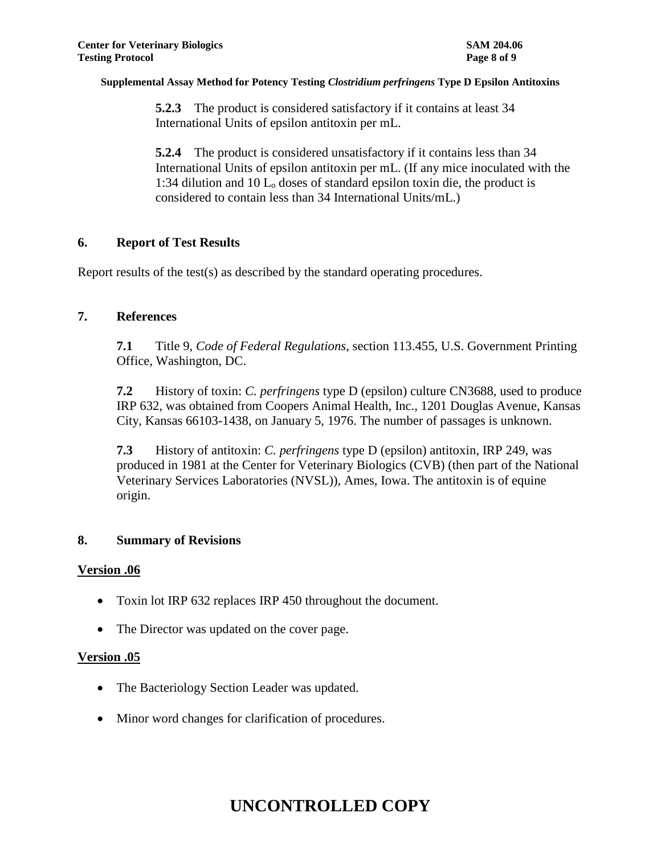**5.2.3** The product is considered satisfactory if it contains at least 34 International Units of epsilon antitoxin per mL.

**5.2.4** The product is considered unsatisfactory if it contains less than 34 International Units of epsilon antitoxin per mL. (If any mice inoculated with the 1:34 dilution and 10  $L_0$  doses of standard epsilon toxin die, the product is considered to contain less than 34 International Units/mL.)

## **6. Report of Test Results**

Report results of the test(s) as described by the standard operating procedures.

## **7. References**

**7.1** Title 9, *Code of Federal Regulations*, section 113.455, U.S. Government Printing Office, Washington, DC.

**7.2** History of toxin: *C. perfringens* type D (epsilon) culture CN3688, used to produce IRP 632, was obtained from Coopers Animal Health, Inc., 1201 Douglas Avenue, Kansas City, Kansas 66103-1438, on January 5, 1976. The number of passages is unknown.

**7.3** History of antitoxin: *C. perfringens* type D (epsilon) antitoxin, IRP 249, was produced in 1981 at the Center for Veterinary Biologics (CVB) (then part of the National Veterinary Services Laboratories (NVSL)), Ames, Iowa. The antitoxin is of equine origin.

## **8. Summary of Revisions**

## **Version .06**

- Toxin lot IRP 632 replaces IRP 450 throughout the document.
- The Director was updated on the cover page.

## **Version .05**

- The Bacteriology Section Leader was updated.
- Minor word changes for clarification of procedures.